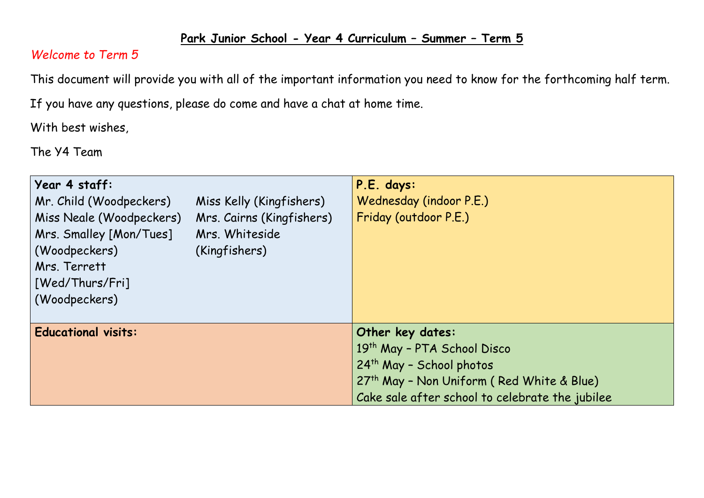## **Park Junior School - Year 4 Curriculum – Summer – Term 5**

## *Welcome to Term 5*

This document will provide you with all of the important information you need to know for the forthcoming half term.

If you have any questions, please do come and have a chat at home time.

With best wishes,

The Y4 Team

| Year 4 staff:<br>Mr. Child (Woodpeckers)<br>Miss Neale (Woodpeckers)<br>Mrs. Smalley [Mon/Tues]<br>(Woodpeckers)<br>Mrs. Terrett<br>[Wed/Thurs/Fri]<br>(Woodpeckers) | Miss Kelly (Kingfishers)<br>Mrs. Cairns (Kingfishers)<br>Mrs. Whiteside<br>(Kingfishers) | P.E. days:<br>Wednesday (indoor P.E.)<br>Friday (outdoor P.E.)                                                                                                                                      |
|----------------------------------------------------------------------------------------------------------------------------------------------------------------------|------------------------------------------------------------------------------------------|-----------------------------------------------------------------------------------------------------------------------------------------------------------------------------------------------------|
| <b>Educational visits:</b>                                                                                                                                           |                                                                                          | Other key dates:<br>19th May - PTA School Disco<br>24 <sup>th</sup> May - School photos<br>27 <sup>th</sup> May - Non Uniform (Red White & Blue)<br>Cake sale after school to celebrate the jubilee |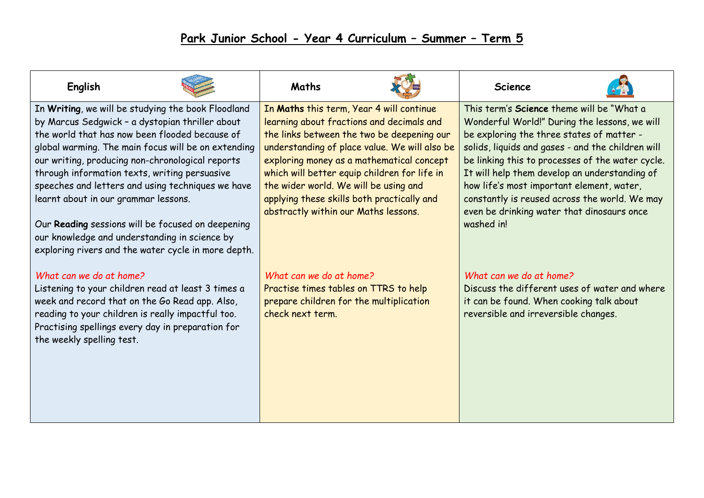## **Park Junior School - Year 4 Curriculum – Summer – Term 5**

| In Writing, we will be studying the book Floodland<br>This term's Science theme will be "What a<br>In Maths this term, Year 4 will continue<br>by Marcus Sedgwick - a dystopian thriller about<br>Wonderful World!" During the lessons, we will<br>learning about fractions and decimals and<br>the world that has now been flooded because of<br>be exploring the three states of matter -<br>the links between the two be deepening our<br>global warming. The main focus will be on extending<br>understanding of place value. We will also be<br>solids, liquids and gases - and the children will<br>our writing, producing non-chronological reports<br>exploring money as a mathematical concept<br>be linking this to processes of the water cycle.<br>through information texts, writing persuasive<br>which will better equip children for life in<br>It will help them develop an understanding of<br>the wider world. We will be using and<br>speeches and letters and using techniques we have<br>how life's most important element, water,<br>applying these skills both practically and<br>constantly is reused across the world. We may<br>learnt about in our grammar lessons.<br>abstractly within our Maths lessons.<br>even be drinking water that dinosaurs once<br>washed in!<br>Our Reading sessions will be focused on deepening<br>our knowledge and understanding in science by<br>exploring rivers and the water cycle in more depth.<br>What can we do at home?<br>What can we do at home?<br>What can we do at home?<br>Listening to your children read at least 3 times a<br>Discuss the different uses of water and where<br>Practise times tables on TTRS to help<br>week and record that on the Go Read app. Also,<br>it can be found. When cooking talk about<br>prepare children for the multiplication<br>reading to your children is really impactful too.<br>check next term.<br>reversible and irreversible changes.<br>Practising spellings every day in preparation for<br>the weekly spelling test. | English | Maths | <b>Science</b> |  |
|-----------------------------------------------------------------------------------------------------------------------------------------------------------------------------------------------------------------------------------------------------------------------------------------------------------------------------------------------------------------------------------------------------------------------------------------------------------------------------------------------------------------------------------------------------------------------------------------------------------------------------------------------------------------------------------------------------------------------------------------------------------------------------------------------------------------------------------------------------------------------------------------------------------------------------------------------------------------------------------------------------------------------------------------------------------------------------------------------------------------------------------------------------------------------------------------------------------------------------------------------------------------------------------------------------------------------------------------------------------------------------------------------------------------------------------------------------------------------------------------------------------------------------------------------------------------------------------------------------------------------------------------------------------------------------------------------------------------------------------------------------------------------------------------------------------------------------------------------------------------------------------------------------------------------------------------------------------------------------------------------------------------------------------------------|---------|-------|----------------|--|
|                                                                                                                                                                                                                                                                                                                                                                                                                                                                                                                                                                                                                                                                                                                                                                                                                                                                                                                                                                                                                                                                                                                                                                                                                                                                                                                                                                                                                                                                                                                                                                                                                                                                                                                                                                                                                                                                                                                                                                                                                                               |         |       |                |  |
|                                                                                                                                                                                                                                                                                                                                                                                                                                                                                                                                                                                                                                                                                                                                                                                                                                                                                                                                                                                                                                                                                                                                                                                                                                                                                                                                                                                                                                                                                                                                                                                                                                                                                                                                                                                                                                                                                                                                                                                                                                               |         |       |                |  |